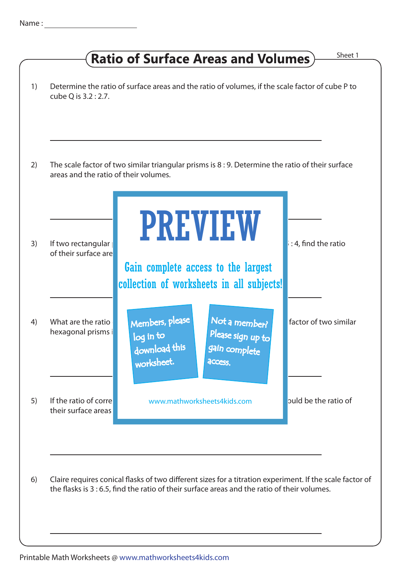